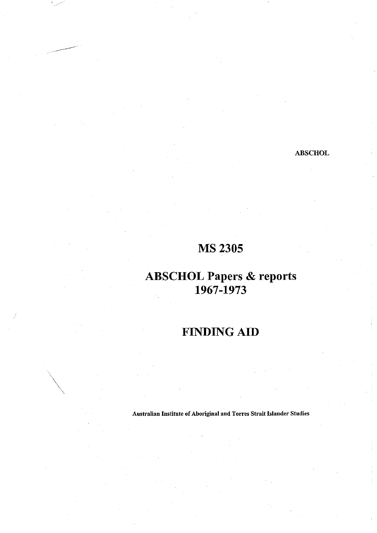#### **ABSCHOL**

## MS 2305

### **ABSCHOL Papers & reports** 1967-1973

# **FINDING AID**

Australian Institute of Aboriginal and Torres Strait Islander Studies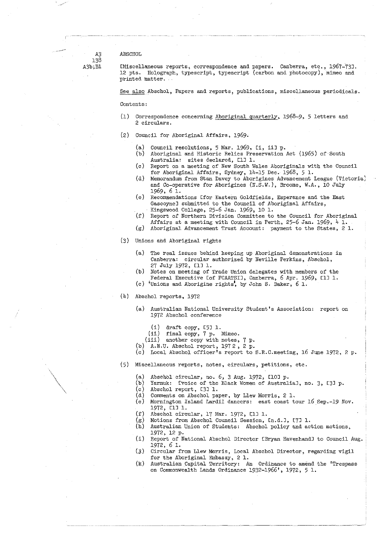#### A3 ABSCHOL

138<br>A3b;B1

IMiscellaneous reports, correspondence and papers. Canberra, etc., 1967-731. 12 pts. Holograph, typescript, typescript (carbon and photocopy), mimeo and  $printed$  matter.

See also Abschol, Papers and reports, publications, miscellaneous periodicals.

Contents:

- (1) Correspondence concerning Aboriginal quarterly, 1968-9, 5 letters and 2 circulars.
- (2) Council for Aboriginal Affairs, 1969.
	- (a) Council resolutions, 5 Mar. 1969, Ei, ii] p.<br>(b) Aboriginal and Historic Relics Preservation.
	- Aboriginal and Historic Relics Preservation Act (1965) of South Australia: sites declared, [1] 1.
	- (c) Report on a meeting of New South Wales Aboriginals with the Council for Aboriginal Affairs, Sydney,  $14-15$  Dec. 1968, 5 1.
	- (d) Memorandum from Stan Davey to Aborigines Advancement League (Victoria] and Co-operative for Aborigines  $(N.S.W.)$ , Broome, W.A., 10 July 1969, 6 1.
	- (e) Recommendations Ifor Eastern Goldfields, Esperance and the East Gascoynel submitted to the Council of Aboriginal Affairs, Kingswood College, 25-6 Jan. 1969, 10 1.
	- (f) Report of Northern Division Committee to the Council for Aboriginal Affairs at a meeting with Council in Perth, 25-6 Jan. 1969,  $4$  1.
	- (g) Aboriginal Advancement Trust Account: payment to the States, *2* 1.
- (3) Unions and Aboriginal rights
	- (a) The real issues behind keeping up Aboriginal demonstrations in Canberra: circular authorized by Neville Perkins, Abschol, 27 July 1972, [1] 1.
	- (b) Notes on meeting of Trade Union delegates with members of the Federal Executive Lof FCAATSI1, Canberra, 6 Apr. 1969, [1] 1.
	- (c) 'Unions and Aborigine rights', by John S. Baker, 6 1.
- (U) Abschol reports, 1972
	- (a) Australian National University Student's Association: report on 1972 Abschol conference ;
		- (i) draft copy, *L51* 1.
		- (ii) final copy, 7 p. Mimeo. !
		- (iii) another copy with notes, 7 P-
	- (b) A.N.U. Abschol report, 1972, 2 p.
	- (c) Local Abschol officer's report to  $S.R.C.mecting$ , 16 June 1972, 2 p.
- (5) Miscellaneous reports, notes, circulars, petitions, etc. ;
	- (a) Abschol circular, no. 6, 3 Aug. 1972,  $[101 p.$
	- (b) Yarmuk: Lvoice of the Black Women of Australial, no. 3, [3] p.
	- (c) Abschol report, C33 1. *[*
	- (d) Comments on Abschol paper, by Llew Morris, 2 1.
	- (e) Mornington Island Lardil dancers: east coast tour 16 Sep.-19 Nov. 1972, C11 1.
	- (f) Abschol circular, 17 Mar. 1972, C13 1.
	-
	- (g) Motions from Abschol Council Session, Cn.d.H, C73 1. Australian Union of Students: Abschol policy and action motions, 1972, 12 p.
	- (i) Report of National Abschol Director EBryan HavenhandD to Council Aug. 1972, 6 i. :

:

- (£) Circular from Llew Morris, Local Abschol Director, regarding vigil for the Aboriginal Embassy, 2 1.
- (k) Australian Capital Territory: An Ordinance to amend the 'Trespass on Commonwealth Lands Ordinance 1932-1966', 1972, 5 1.